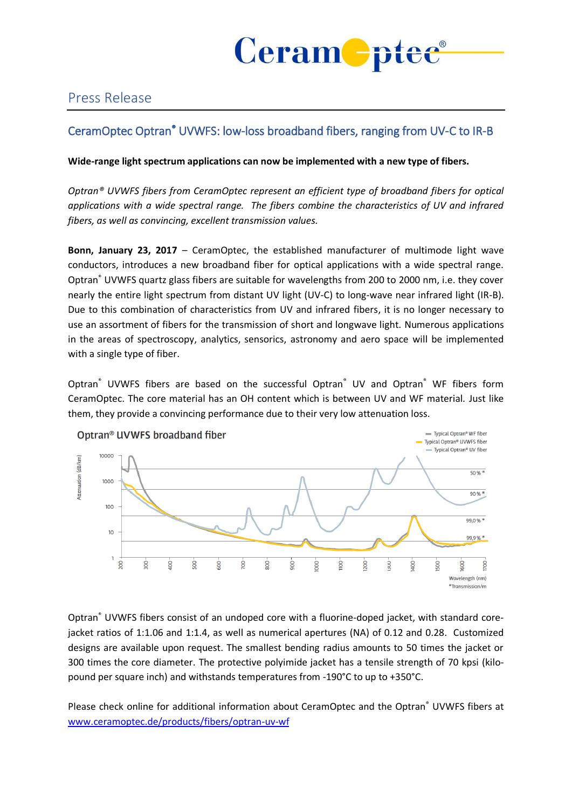

## Press Release

## CeramOptec Optran® UVWFS: low-loss broadband fibers, ranging from UV-C to IR-B

## **Wide-range light spectrum applications can now be implemented with a new type of fibers.**

*Optran® UVWFS fibers from CeramOptec represent an efficient type of broadband fibers for optical applications with a wide spectral range. The fibers combine the characteristics of UV and infrared fibers, as well as convincing, excellent transmission values.*

**Bonn, January 23, 2017** – CeramOptec, the established manufacturer of multimode light wave conductors, introduces a new broadband fiber for optical applications with a wide spectral range. Optran® UVWFS quartz glass fibers are suitable for wavelengths from 200 to 2000 nm, i.e. they cover nearly the entire light spectrum from distant UV light (UV-C) to long-wave near infrared light (IR-B). Due to this combination of characteristics from UV and infrared fibers, it is no longer necessary to use an assortment of fibers for the transmission of short and longwave light. Numerous applications in the areas of spectroscopy, analytics, sensorics, astronomy and aero space will be implemented with a single type of fiber.

Optran<sup>®</sup> UVWFS fibers are based on the successful Optran<sup>®</sup> UV and Optran<sup>®</sup> WF fibers form CeramOptec. The core material has an OH content which is between UV and WF material. Just like them, they provide a convincing performance due to their very low attenuation loss.



Optran® UVWFS fibers consist of an undoped core with a fluorine-doped jacket, with standard corejacket ratios of 1:1.06 and 1:1.4, as well as numerical apertures (NA) of 0.12 and 0.28. Customized designs are available upon request. The smallest bending radius amounts to 50 times the jacket or 300 times the core diameter. The protective polyimide jacket has a tensile strength of 70 kpsi (kilopound per square inch) and withstands temperatures from -190°C to up to +350°C.

Please check online for additional information about CeramOptec and the Optran® UVWFS fibers at [www.ceramoptec.de/products/fibers/optran-uv-wf](http://www.ceramoptec.de/products/fibers/optran-uv-wf)